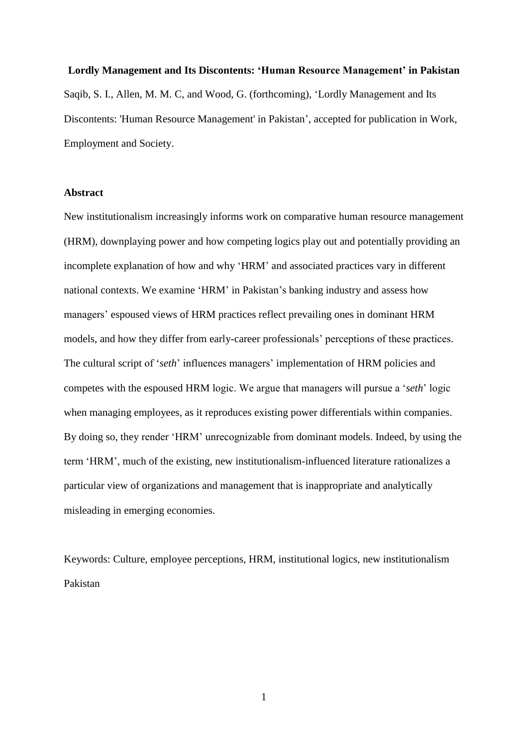#### **Lordly Management and Its Discontents: 'Human Resource Management' in Pakistan**

Saqib, S. I., Allen, M. M. C, and Wood, G. (forthcoming), 'Lordly Management and Its Discontents: 'Human Resource Management' in Pakistan', accepted for publication in Work, Employment and Society.

## **Abstract**

New institutionalism increasingly informs work on comparative human resource management (HRM), downplaying power and how competing logics play out and potentially providing an incomplete explanation of how and why 'HRM' and associated practices vary in different national contexts. We examine 'HRM' in Pakistan's banking industry and assess how managers' espoused views of HRM practices reflect prevailing ones in dominant HRM models, and how they differ from early-career professionals' perceptions of these practices. The cultural script of '*seth*' influences managers' implementation of HRM policies and competes with the espoused HRM logic. We argue that managers will pursue a '*seth*' logic when managing employees, as it reproduces existing power differentials within companies. By doing so, they render 'HRM' unrecognizable from dominant models. Indeed, by using the term 'HRM', much of the existing, new institutionalism-influenced literature rationalizes a particular view of organizations and management that is inappropriate and analytically misleading in emerging economies.

Keywords: Culture, employee perceptions, HRM, institutional logics, new institutionalism Pakistan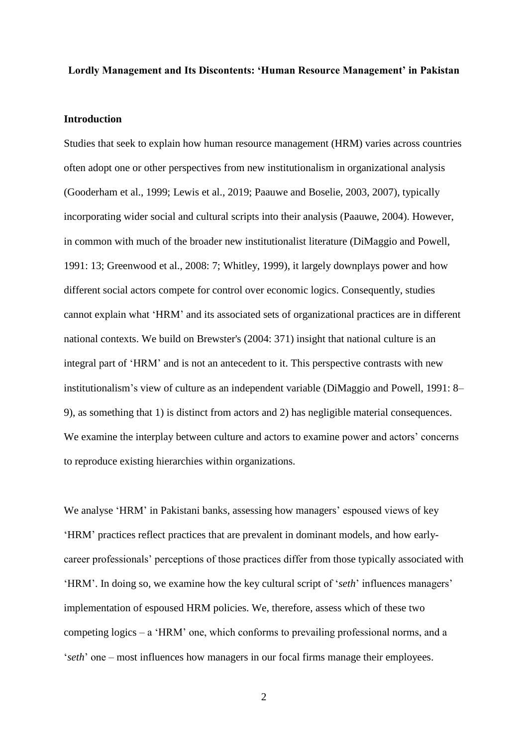#### **Lordly Management and Its Discontents: 'Human Resource Management' in Pakistan**

#### **Introduction**

Studies that seek to explain how human resource management (HRM) varies across countries often adopt one or other perspectives from new institutionalism in organizational analysis (Gooderham et al., 1999; Lewis et al., 2019; Paauwe and Boselie, 2003, 2007), typically incorporating wider social and cultural scripts into their analysis (Paauwe, 2004). However, in common with much of the broader new institutionalist literature (DiMaggio and Powell, 1991: 13; Greenwood et al., 2008: 7; Whitley, 1999), it largely downplays power and how different social actors compete for control over economic logics. Consequently, studies cannot explain what 'HRM' and its associated sets of organizational practices are in different national contexts. We build on Brewster's (2004: 371) insight that national culture is an integral part of 'HRM' and is not an antecedent to it. This perspective contrasts with new institutionalism's view of culture as an independent variable (DiMaggio and Powell, 1991: 8– 9), as something that 1) is distinct from actors and 2) has negligible material consequences. We examine the interplay between culture and actors to examine power and actors' concerns to reproduce existing hierarchies within organizations.

We analyse 'HRM' in Pakistani banks, assessing how managers' espoused views of key 'HRM' practices reflect practices that are prevalent in dominant models, and how earlycareer professionals' perceptions of those practices differ from those typically associated with 'HRM'. In doing so, we examine how the key cultural script of '*seth*' influences managers' implementation of espoused HRM policies. We, therefore, assess which of these two competing logics – a 'HRM' one, which conforms to prevailing professional norms, and a '*seth*' one – most influences how managers in our focal firms manage their employees.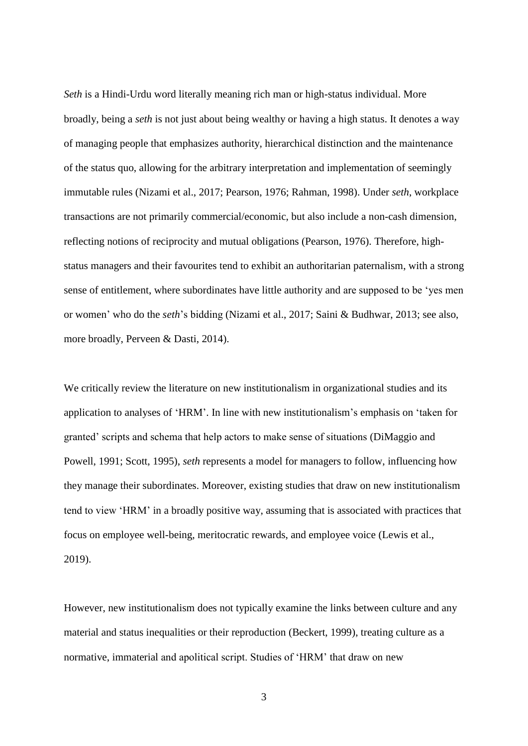*Seth* is a Hindi-Urdu word literally meaning rich man or high-status individual. More broadly, being a *seth* is not just about being wealthy or having a high status. It denotes a way of managing people that emphasizes authority, hierarchical distinction and the maintenance of the status quo, allowing for the arbitrary interpretation and implementation of seemingly immutable rules (Nizami et al., 2017; Pearson, 1976; Rahman, 1998). Under *seth*, workplace transactions are not primarily commercial/economic, but also include a non-cash dimension, reflecting notions of reciprocity and mutual obligations (Pearson, 1976). Therefore, highstatus managers and their favourites tend to exhibit an authoritarian paternalism, with a strong sense of entitlement, where subordinates have little authority and are supposed to be 'yes men or women' who do the *seth*'s bidding (Nizami et al., 2017; Saini & Budhwar, 2013; see also, more broadly, Perveen & Dasti, 2014).

We critically review the literature on new institutionalism in organizational studies and its application to analyses of 'HRM'. In line with new institutionalism's emphasis on 'taken for granted' scripts and schema that help actors to make sense of situations (DiMaggio and Powell, 1991; Scott, 1995), *seth* represents a model for managers to follow, influencing how they manage their subordinates. Moreover, existing studies that draw on new institutionalism tend to view 'HRM' in a broadly positive way, assuming that is associated with practices that focus on employee well-being, meritocratic rewards, and employee voice (Lewis et al., 2019).

However, new institutionalism does not typically examine the links between culture and any material and status inequalities or their reproduction (Beckert, 1999), treating culture as a normative, immaterial and apolitical script. Studies of 'HRM' that draw on new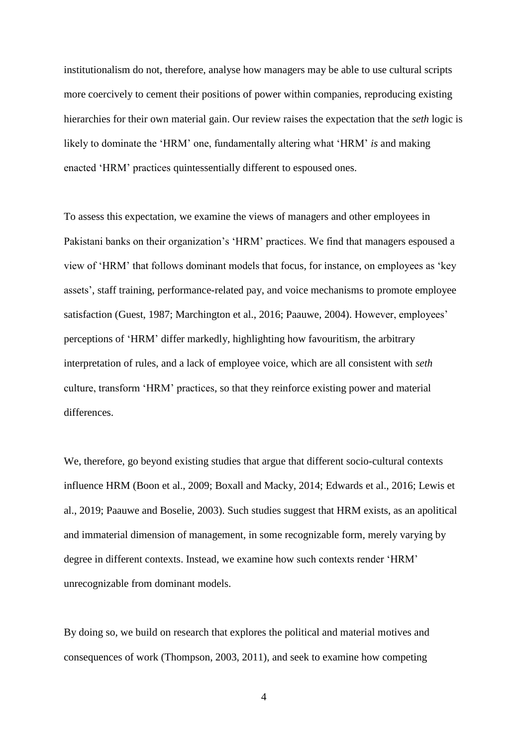institutionalism do not, therefore, analyse how managers may be able to use cultural scripts more coercively to cement their positions of power within companies, reproducing existing hierarchies for their own material gain. Our review raises the expectation that the *seth* logic is likely to dominate the 'HRM' one, fundamentally altering what 'HRM' *is* and making enacted 'HRM' practices quintessentially different to espoused ones.

To assess this expectation, we examine the views of managers and other employees in Pakistani banks on their organization's 'HRM' practices. We find that managers espoused a view of 'HRM' that follows dominant models that focus, for instance, on employees as 'key assets', staff training, performance-related pay, and voice mechanisms to promote employee satisfaction (Guest, 1987; Marchington et al., 2016; Paauwe, 2004). However, employees' perceptions of 'HRM' differ markedly, highlighting how favouritism, the arbitrary interpretation of rules, and a lack of employee voice, which are all consistent with *seth*  culture, transform 'HRM' practices, so that they reinforce existing power and material differences.

We, therefore, go beyond existing studies that argue that different socio-cultural contexts influence HRM (Boon et al., 2009; Boxall and Macky, 2014; Edwards et al., 2016; Lewis et al., 2019; Paauwe and Boselie, 2003). Such studies suggest that HRM exists, as an apolitical and immaterial dimension of management, in some recognizable form, merely varying by degree in different contexts. Instead, we examine how such contexts render 'HRM' unrecognizable from dominant models.

By doing so, we build on research that explores the political and material motives and consequences of work (Thompson, 2003, 2011), and seek to examine how competing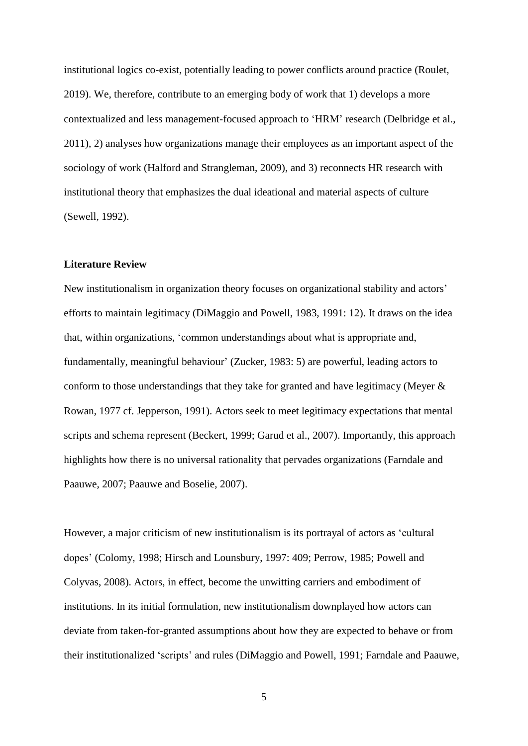institutional logics co-exist, potentially leading to power conflicts around practice (Roulet, 2019). We, therefore, contribute to an emerging body of work that 1) develops a more contextualized and less management-focused approach to 'HRM' research (Delbridge et al., 2011), 2) analyses how organizations manage their employees as an important aspect of the sociology of work (Halford and Strangleman, 2009), and 3) reconnects HR research with institutional theory that emphasizes the dual ideational and material aspects of culture (Sewell, 1992).

#### **Literature Review**

New institutionalism in organization theory focuses on organizational stability and actors' efforts to maintain legitimacy (DiMaggio and Powell, 1983, 1991: 12). It draws on the idea that, within organizations, 'common understandings about what is appropriate and, fundamentally, meaningful behaviour' (Zucker, 1983: 5) are powerful, leading actors to conform to those understandings that they take for granted and have legitimacy (Meyer & Rowan, 1977 cf. Jepperson, 1991). Actors seek to meet legitimacy expectations that mental scripts and schema represent (Beckert, 1999; Garud et al., 2007). Importantly, this approach highlights how there is no universal rationality that pervades organizations (Farndale and Paauwe, 2007; Paauwe and Boselie, 2007).

However, a major criticism of new institutionalism is its portrayal of actors as 'cultural dopes' (Colomy, 1998; Hirsch and Lounsbury, 1997: 409; Perrow, 1985; Powell and Colyvas, 2008). Actors, in effect, become the unwitting carriers and embodiment of institutions. In its initial formulation, new institutionalism downplayed how actors can deviate from taken-for-granted assumptions about how they are expected to behave or from their institutionalized 'scripts' and rules (DiMaggio and Powell, 1991; Farndale and Paauwe,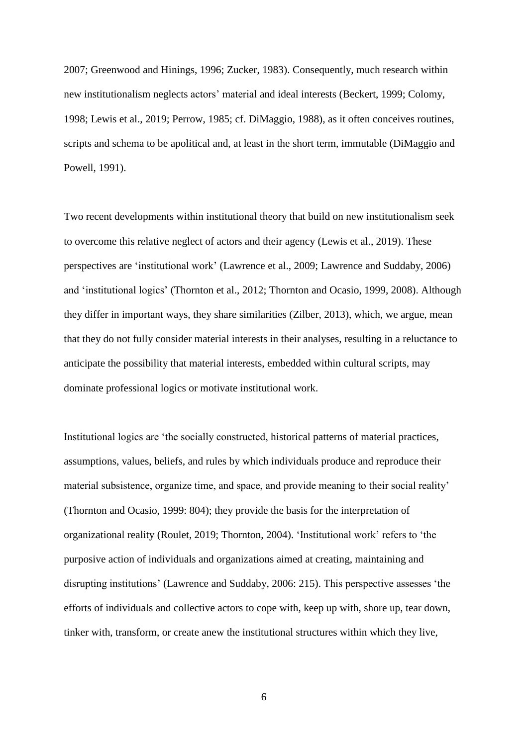2007; Greenwood and Hinings, 1996; Zucker, 1983). Consequently, much research within new institutionalism neglects actors' material and ideal interests (Beckert, 1999; Colomy, 1998; Lewis et al., 2019; Perrow, 1985; cf. DiMaggio, 1988), as it often conceives routines, scripts and schema to be apolitical and, at least in the short term, immutable (DiMaggio and Powell, 1991).

Two recent developments within institutional theory that build on new institutionalism seek to overcome this relative neglect of actors and their agency (Lewis et al., 2019). These perspectives are 'institutional work' (Lawrence et al., 2009; Lawrence and Suddaby, 2006) and 'institutional logics' (Thornton et al., 2012; Thornton and Ocasio, 1999, 2008). Although they differ in important ways, they share similarities (Zilber, 2013), which, we argue, mean that they do not fully consider material interests in their analyses, resulting in a reluctance to anticipate the possibility that material interests, embedded within cultural scripts, may dominate professional logics or motivate institutional work.

Institutional logics are 'the socially constructed, historical patterns of material practices, assumptions, values, beliefs, and rules by which individuals produce and reproduce their material subsistence, organize time, and space, and provide meaning to their social reality' (Thornton and Ocasio, 1999: 804); they provide the basis for the interpretation of organizational reality (Roulet, 2019; Thornton, 2004). 'Institutional work' refers to 'the purposive action of individuals and organizations aimed at creating, maintaining and disrupting institutions' (Lawrence and Suddaby, 2006: 215). This perspective assesses 'the efforts of individuals and collective actors to cope with, keep up with, shore up, tear down, tinker with, transform, or create anew the institutional structures within which they live,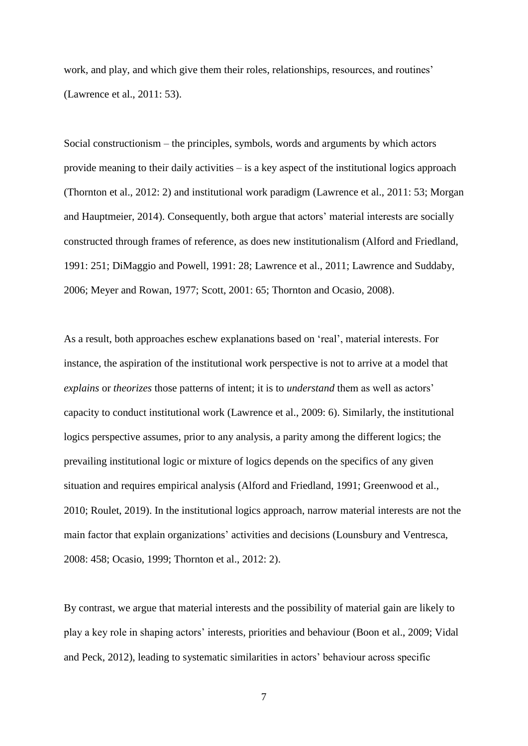work, and play, and which give them their roles, relationships, resources, and routines' (Lawrence et al., 2011: 53).

Social constructionism – the principles, symbols, words and arguments by which actors provide meaning to their daily activities – is a key aspect of the institutional logics approach (Thornton et al., 2012: 2) and institutional work paradigm (Lawrence et al., 2011: 53; Morgan and Hauptmeier, 2014). Consequently, both argue that actors' material interests are socially constructed through frames of reference, as does new institutionalism (Alford and Friedland, 1991: 251; DiMaggio and Powell, 1991: 28; Lawrence et al., 2011; Lawrence and Suddaby, 2006; Meyer and Rowan, 1977; Scott, 2001: 65; Thornton and Ocasio, 2008).

As a result, both approaches eschew explanations based on 'real', material interests. For instance, the aspiration of the institutional work perspective is not to arrive at a model that *explains* or *theorizes* those patterns of intent; it is to *understand* them as well as actors' capacity to conduct institutional work (Lawrence et al., 2009: 6). Similarly, the institutional logics perspective assumes, prior to any analysis, a parity among the different logics; the prevailing institutional logic or mixture of logics depends on the specifics of any given situation and requires empirical analysis (Alford and Friedland, 1991; Greenwood et al., 2010; Roulet, 2019). In the institutional logics approach, narrow material interests are not the main factor that explain organizations' activities and decisions (Lounsbury and Ventresca, 2008: 458; Ocasio, 1999; Thornton et al., 2012: 2).

By contrast, we argue that material interests and the possibility of material gain are likely to play a key role in shaping actors' interests, priorities and behaviour (Boon et al., 2009; Vidal and Peck, 2012), leading to systematic similarities in actors' behaviour across specific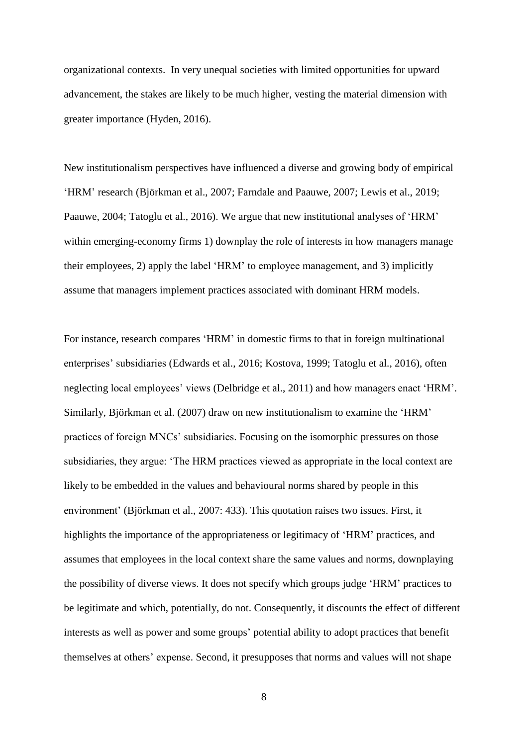organizational contexts. In very unequal societies with limited opportunities for upward advancement, the stakes are likely to be much higher, vesting the material dimension with greater importance (Hyden, 2016).

New institutionalism perspectives have influenced a diverse and growing body of empirical 'HRM' research (Björkman et al., 2007; Farndale and Paauwe, 2007; Lewis et al., 2019; Paauwe, 2004; Tatoglu et al., 2016). We argue that new institutional analyses of 'HRM' within emerging-economy firms 1) downplay the role of interests in how managers manage their employees, 2) apply the label 'HRM' to employee management, and 3) implicitly assume that managers implement practices associated with dominant HRM models.

For instance, research compares 'HRM' in domestic firms to that in foreign multinational enterprises' subsidiaries (Edwards et al., 2016; Kostova, 1999; Tatoglu et al., 2016), often neglecting local employees' views (Delbridge et al., 2011) and how managers enact 'HRM'. Similarly, Björkman et al. (2007) draw on new institutionalism to examine the 'HRM' practices of foreign MNCs' subsidiaries. Focusing on the isomorphic pressures on those subsidiaries, they argue: 'The HRM practices viewed as appropriate in the local context are likely to be embedded in the values and behavioural norms shared by people in this environment' (Björkman et al., 2007: 433). This quotation raises two issues. First, it highlights the importance of the appropriateness or legitimacy of 'HRM' practices, and assumes that employees in the local context share the same values and norms, downplaying the possibility of diverse views. It does not specify which groups judge 'HRM' practices to be legitimate and which, potentially, do not. Consequently, it discounts the effect of different interests as well as power and some groups' potential ability to adopt practices that benefit themselves at others' expense. Second, it presupposes that norms and values will not shape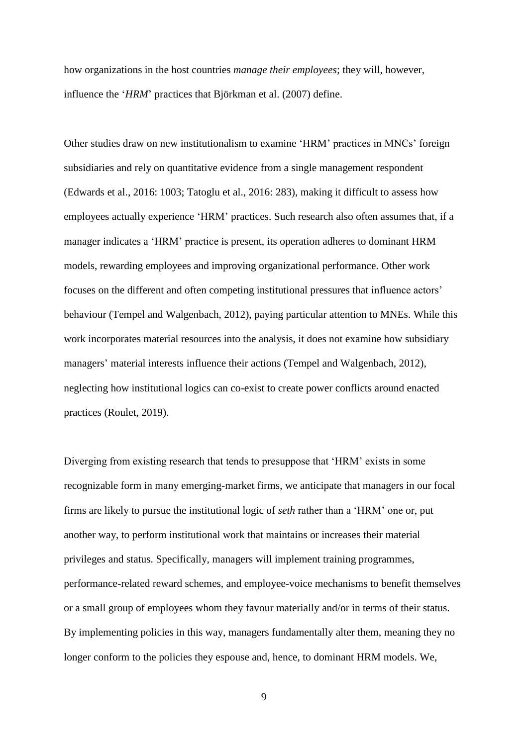how organizations in the host countries *manage their employees*; they will, however, influence the '*HRM*' practices that Björkman et al. (2007) define.

Other studies draw on new institutionalism to examine 'HRM' practices in MNCs' foreign subsidiaries and rely on quantitative evidence from a single management respondent (Edwards et al., 2016: 1003; Tatoglu et al., 2016: 283), making it difficult to assess how employees actually experience 'HRM' practices. Such research also often assumes that, if a manager indicates a 'HRM' practice is present, its operation adheres to dominant HRM models, rewarding employees and improving organizational performance. Other work focuses on the different and often competing institutional pressures that influence actors' behaviour (Tempel and Walgenbach, 2012), paying particular attention to MNEs. While this work incorporates material resources into the analysis, it does not examine how subsidiary managers' material interests influence their actions (Tempel and Walgenbach, 2012), neglecting how institutional logics can co-exist to create power conflicts around enacted practices (Roulet, 2019).

Diverging from existing research that tends to presuppose that 'HRM' exists in some recognizable form in many emerging-market firms, we anticipate that managers in our focal firms are likely to pursue the institutional logic of *seth* rather than a 'HRM' one or, put another way, to perform institutional work that maintains or increases their material privileges and status. Specifically, managers will implement training programmes, performance-related reward schemes, and employee-voice mechanisms to benefit themselves or a small group of employees whom they favour materially and/or in terms of their status. By implementing policies in this way, managers fundamentally alter them, meaning they no longer conform to the policies they espouse and, hence, to dominant HRM models. We,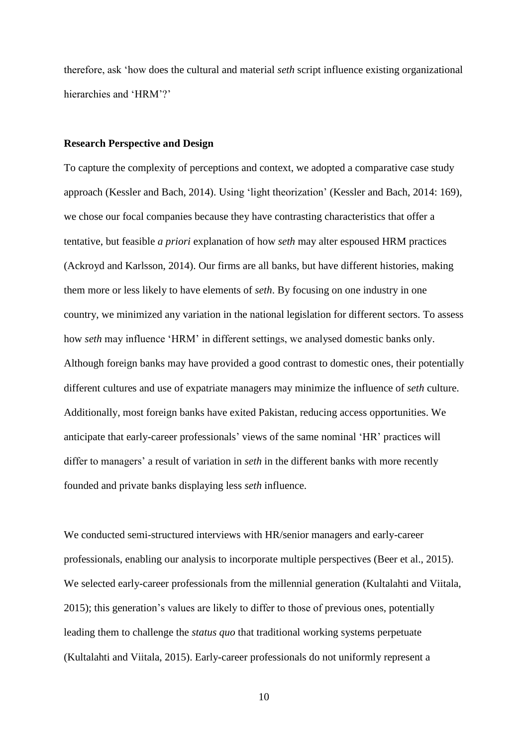therefore, ask 'how does the cultural and material *seth* script influence existing organizational hierarchies and 'HRM'?'

#### **Research Perspective and Design**

To capture the complexity of perceptions and context, we adopted a comparative case study approach (Kessler and Bach, 2014). Using 'light theorization' (Kessler and Bach, 2014: 169), we chose our focal companies because they have contrasting characteristics that offer a tentative, but feasible *a priori* explanation of how *seth* may alter espoused HRM practices (Ackroyd and Karlsson, 2014). Our firms are all banks, but have different histories, making them more or less likely to have elements of *seth*. By focusing on one industry in one country, we minimized any variation in the national legislation for different sectors. To assess how *seth* may influence 'HRM' in different settings, we analysed domestic banks only. Although foreign banks may have provided a good contrast to domestic ones, their potentially different cultures and use of expatriate managers may minimize the influence of *seth* culture. Additionally, most foreign banks have exited Pakistan, reducing access opportunities. We anticipate that early-career professionals' views of the same nominal 'HR' practices will differ to managers' a result of variation in *seth* in the different banks with more recently founded and private banks displaying less *seth* influence.

We conducted semi-structured interviews with HR/senior managers and early-career professionals, enabling our analysis to incorporate multiple perspectives (Beer et al., 2015). We selected early-career professionals from the millennial generation (Kultalahti and Viitala, 2015); this generation's values are likely to differ to those of previous ones, potentially leading them to challenge the *status quo* that traditional working systems perpetuate (Kultalahti and Viitala, 2015). Early-career professionals do not uniformly represent a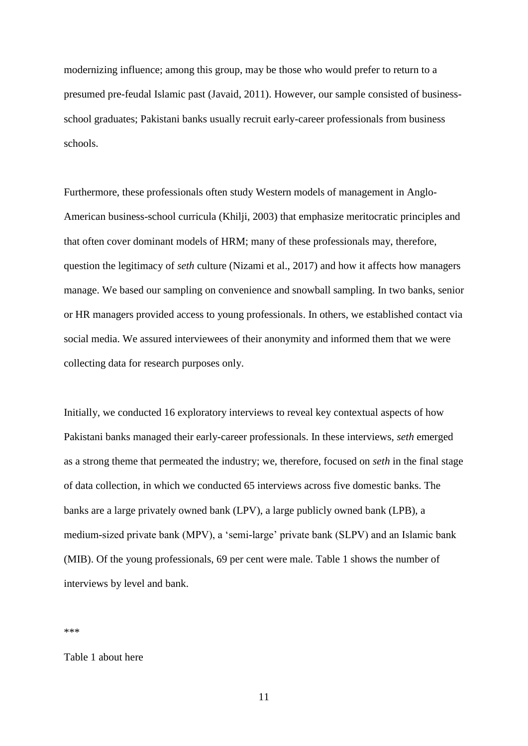modernizing influence; among this group, may be those who would prefer to return to a presumed pre-feudal Islamic past (Javaid, 2011). However, our sample consisted of businessschool graduates; Pakistani banks usually recruit early-career professionals from business schools.

Furthermore, these professionals often study Western models of management in Anglo-American business-school curricula (Khilji, 2003) that emphasize meritocratic principles and that often cover dominant models of HRM; many of these professionals may, therefore, question the legitimacy of *seth* culture (Nizami et al., 2017) and how it affects how managers manage. We based our sampling on convenience and snowball sampling. In two banks, senior or HR managers provided access to young professionals. In others, we established contact via social media. We assured interviewees of their anonymity and informed them that we were collecting data for research purposes only.

Initially, we conducted 16 exploratory interviews to reveal key contextual aspects of how Pakistani banks managed their early-career professionals. In these interviews, *seth* emerged as a strong theme that permeated the industry; we, therefore, focused on *seth* in the final stage of data collection, in which we conducted 65 interviews across five domestic banks. The banks are a large privately owned bank (LPV), a large publicly owned bank (LPB), a medium-sized private bank (MPV), a 'semi-large' private bank (SLPV) and an Islamic bank (MIB). Of the young professionals, 69 per cent were male. Table 1 shows the number of interviews by level and bank.

\*\*\*

Table 1 about here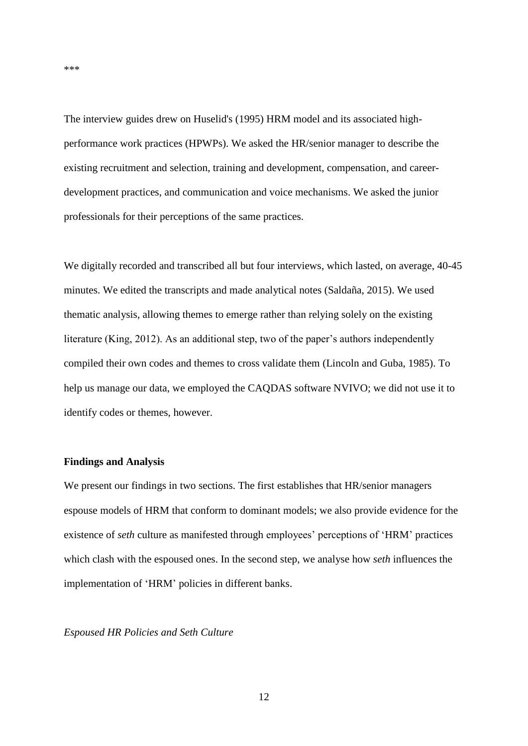The interview guides drew on Huselid's (1995) HRM model and its associated highperformance work practices (HPWPs). We asked the HR/senior manager to describe the existing recruitment and selection, training and development, compensation, and careerdevelopment practices, and communication and voice mechanisms. We asked the junior professionals for their perceptions of the same practices.

We digitally recorded and transcribed all but four interviews, which lasted, on average, 40-45 minutes. We edited the transcripts and made analytical notes (Saldaña, 2015). We used thematic analysis, allowing themes to emerge rather than relying solely on the existing literature (King, 2012). As an additional step, two of the paper's authors independently compiled their own codes and themes to cross validate them (Lincoln and Guba, 1985). To help us manage our data, we employed the CAQDAS software NVIVO; we did not use it to identify codes or themes, however.

#### **Findings and Analysis**

We present our findings in two sections. The first establishes that HR/senior managers espouse models of HRM that conform to dominant models; we also provide evidence for the existence of *seth* culture as manifested through employees' perceptions of 'HRM' practices which clash with the espoused ones. In the second step, we analyse how *seth* influences the implementation of 'HRM' policies in different banks.

## *Espoused HR Policies and Seth Culture*

\*\*\*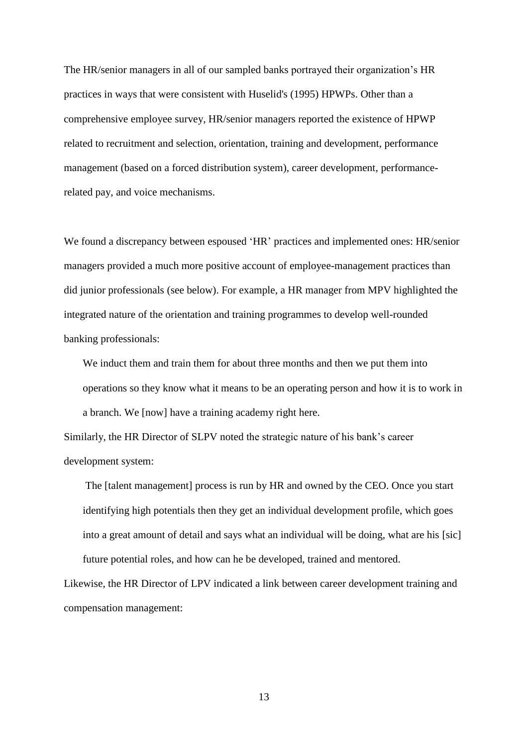The HR/senior managers in all of our sampled banks portrayed their organization's HR practices in ways that were consistent with Huselid's (1995) HPWPs. Other than a comprehensive employee survey, HR/senior managers reported the existence of HPWP related to recruitment and selection, orientation, training and development, performance management (based on a forced distribution system), career development, performancerelated pay, and voice mechanisms.

We found a discrepancy between espoused 'HR' practices and implemented ones: HR/senior managers provided a much more positive account of employee-management practices than did junior professionals (see below). For example, a HR manager from MPV highlighted the integrated nature of the orientation and training programmes to develop well-rounded banking professionals:

We induct them and train them for about three months and then we put them into operations so they know what it means to be an operating person and how it is to work in a branch. We [now] have a training academy right here.

Similarly, the HR Director of SLPV noted the strategic nature of his bank's career development system:

The [talent management] process is run by HR and owned by the CEO. Once you start identifying high potentials then they get an individual development profile, which goes into a great amount of detail and says what an individual will be doing, what are his [sic] future potential roles, and how can he be developed, trained and mentored.

Likewise, the HR Director of LPV indicated a link between career development training and compensation management: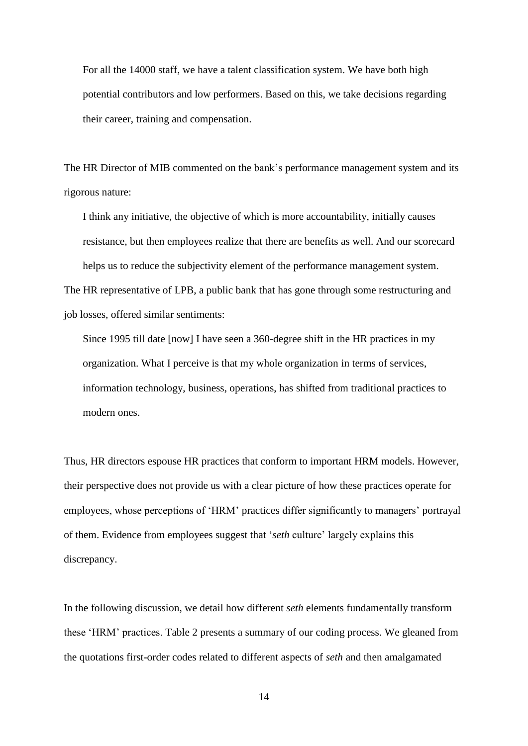For all the 14000 staff, we have a talent classification system. We have both high potential contributors and low performers. Based on this, we take decisions regarding their career, training and compensation.

The HR Director of MIB commented on the bank's performance management system and its rigorous nature:

I think any initiative, the objective of which is more accountability, initially causes resistance, but then employees realize that there are benefits as well. And our scorecard helps us to reduce the subjectivity element of the performance management system. The HR representative of LPB, a public bank that has gone through some restructuring and job losses, offered similar sentiments:

Since 1995 till date [now] I have seen a 360-degree shift in the HR practices in my organization. What I perceive is that my whole organization in terms of services, information technology, business, operations, has shifted from traditional practices to modern ones.

Thus, HR directors espouse HR practices that conform to important HRM models. However, their perspective does not provide us with a clear picture of how these practices operate for employees, whose perceptions of 'HRM' practices differ significantly to managers' portrayal of them. Evidence from employees suggest that '*seth* culture' largely explains this discrepancy.

In the following discussion, we detail how different *seth* elements fundamentally transform these 'HRM' practices. Table 2 presents a summary of our coding process. We gleaned from the quotations first-order codes related to different aspects of *seth* and then amalgamated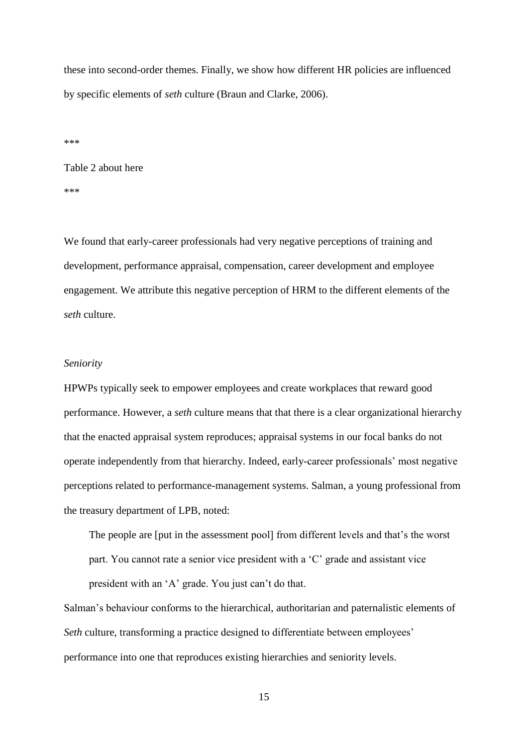these into second-order themes. Finally, we show how different HR policies are influenced by specific elements of *seth* culture (Braun and Clarke, 2006).

\*\*\*

Table 2 about here \*\*\*

We found that early-career professionals had very negative perceptions of training and development, performance appraisal, compensation, career development and employee engagement. We attribute this negative perception of HRM to the different elements of the *seth* culture.

## *Seniority*

HPWPs typically seek to empower employees and create workplaces that reward good performance. However, a *seth* culture means that that there is a clear organizational hierarchy that the enacted appraisal system reproduces; appraisal systems in our focal banks do not operate independently from that hierarchy. Indeed, early-career professionals' most negative perceptions related to performance-management systems. Salman, a young professional from the treasury department of LPB, noted:

The people are [put in the assessment pool] from different levels and that's the worst part. You cannot rate a senior vice president with a 'C' grade and assistant vice president with an 'A' grade. You just can't do that.

Salman's behaviour conforms to the hierarchical, authoritarian and paternalistic elements of *Seth* culture, transforming a practice designed to differentiate between employees' performance into one that reproduces existing hierarchies and seniority levels.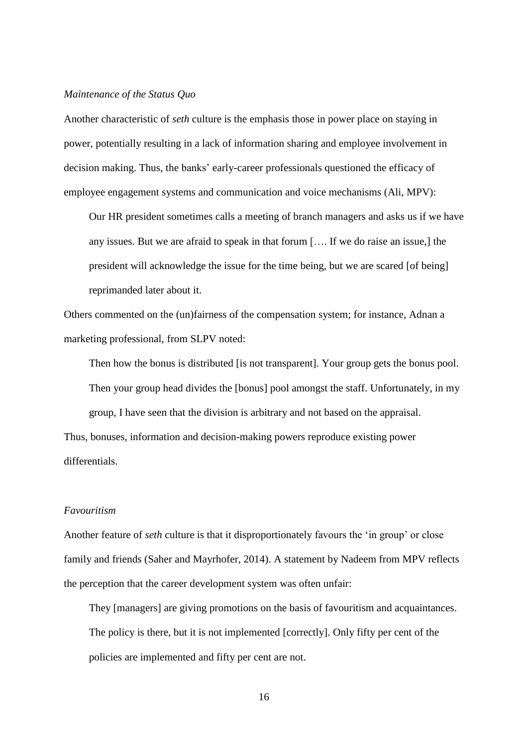#### *Maintenance of the Status Quo*

Another characteristic of *seth* culture is the emphasis those in power place on staying in power, potentially resulting in a lack of information sharing and employee involvement in decision making. Thus, the banks' early-career professionals questioned the efficacy of employee engagement systems and communication and voice mechanisms (Ali, MPV):

Our HR president sometimes calls a meeting of branch managers and asks us if we have any issues. But we are afraid to speak in that forum […. If we do raise an issue,] the president will acknowledge the issue for the time being, but we are scared [of being] reprimanded later about it.

Others commented on the (un)fairness of the compensation system; for instance, Adnan a marketing professional, from SLPV noted:

Then how the bonus is distributed [is not transparent]. Your group gets the bonus pool. Then your group head divides the [bonus] pool amongst the staff. Unfortunately, in my group, I have seen that the division is arbitrary and not based on the appraisal.

Thus, bonuses, information and decision-making powers reproduce existing power differentials.

#### *Favouritism*

Another feature of *seth* culture is that it disproportionately favours the 'in group' or close family and friends (Saher and Mayrhofer, 2014). A statement by Nadeem from MPV reflects the perception that the career development system was often unfair:

They [managers] are giving promotions on the basis of favouritism and acquaintances. The policy is there, but it is not implemented [correctly]. Only fifty per cent of the policies are implemented and fifty per cent are not.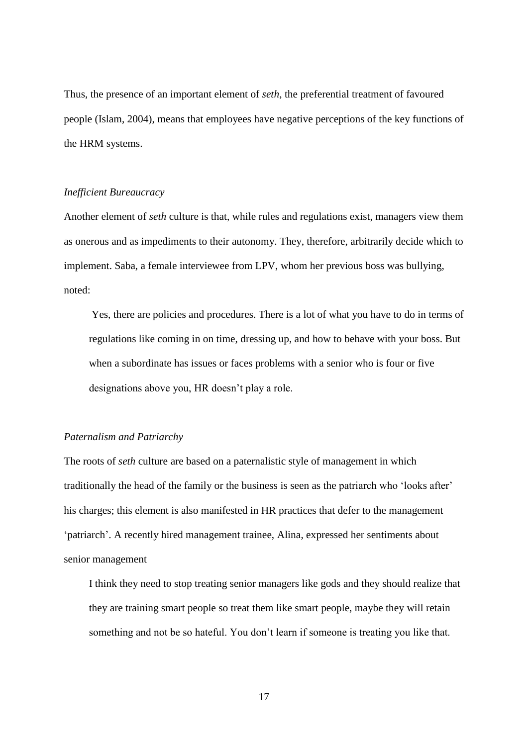Thus, the presence of an important element of *seth*, the preferential treatment of favoured people (Islam, 2004), means that employees have negative perceptions of the key functions of the HRM systems.

## *Inefficient Bureaucracy*

Another element of *seth* culture is that, while rules and regulations exist, managers view them as onerous and as impediments to their autonomy. They, therefore, arbitrarily decide which to implement. Saba, a female interviewee from LPV, whom her previous boss was bullying, noted:

Yes, there are policies and procedures. There is a lot of what you have to do in terms of regulations like coming in on time, dressing up, and how to behave with your boss. But when a subordinate has issues or faces problems with a senior who is four or five designations above you, HR doesn't play a role.

#### *Paternalism and Patriarchy*

The roots of *seth* culture are based on a paternalistic style of management in which traditionally the head of the family or the business is seen as the patriarch who 'looks after' his charges; this element is also manifested in HR practices that defer to the management 'patriarch'. A recently hired management trainee, Alina, expressed her sentiments about senior management

I think they need to stop treating senior managers like gods and they should realize that they are training smart people so treat them like smart people, maybe they will retain something and not be so hateful. You don't learn if someone is treating you like that.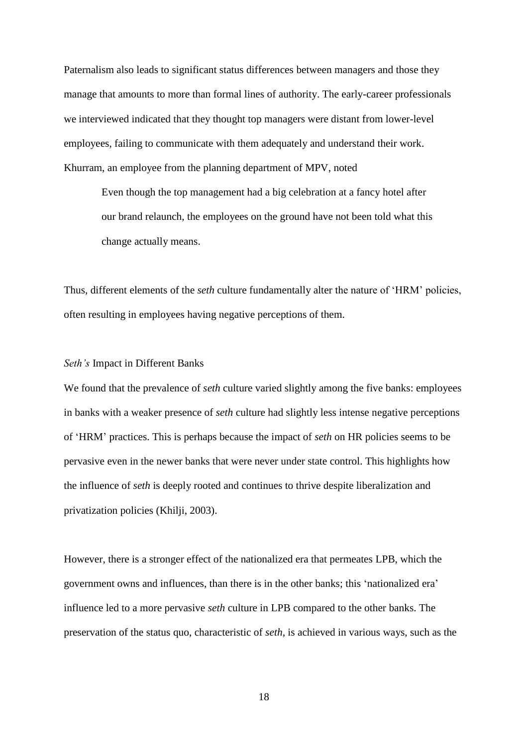Paternalism also leads to significant status differences between managers and those they manage that amounts to more than formal lines of authority. The early-career professionals we interviewed indicated that they thought top managers were distant from lower-level employees, failing to communicate with them adequately and understand their work. Khurram, an employee from the planning department of MPV, noted

Even though the top management had a big celebration at a fancy hotel after our brand relaunch, the employees on the ground have not been told what this change actually means.

Thus, different elements of the *seth* culture fundamentally alter the nature of 'HRM' policies, often resulting in employees having negative perceptions of them.

## *Seth's* Impact in Different Banks

We found that the prevalence of *seth* culture varied slightly among the five banks: employees in banks with a weaker presence of *seth* culture had slightly less intense negative perceptions of 'HRM' practices. This is perhaps because the impact of *seth* on HR policies seems to be pervasive even in the newer banks that were never under state control. This highlights how the influence of *seth* is deeply rooted and continues to thrive despite liberalization and privatization policies (Khilji, 2003).

However, there is a stronger effect of the nationalized era that permeates LPB, which the government owns and influences, than there is in the other banks; this 'nationalized era' influence led to a more pervasive *seth* culture in LPB compared to the other banks. The preservation of the status quo, characteristic of *seth*, is achieved in various ways, such as the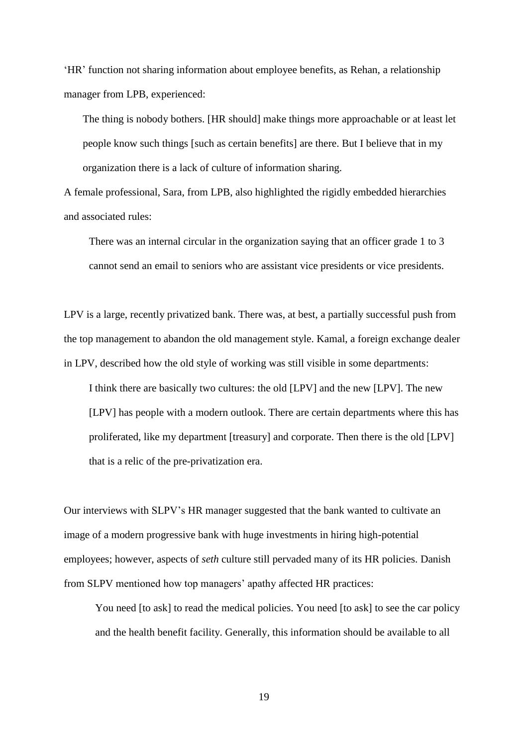'HR' function not sharing information about employee benefits, as Rehan, a relationship manager from LPB, experienced:

The thing is nobody bothers. [HR should] make things more approachable or at least let people know such things [such as certain benefits] are there. But I believe that in my organization there is a lack of culture of information sharing.

A female professional, Sara, from LPB, also highlighted the rigidly embedded hierarchies and associated rules:

There was an internal circular in the organization saying that an officer grade 1 to 3 cannot send an email to seniors who are assistant vice presidents or vice presidents.

LPV is a large, recently privatized bank. There was, at best, a partially successful push from the top management to abandon the old management style. Kamal, a foreign exchange dealer in LPV, described how the old style of working was still visible in some departments:

I think there are basically two cultures: the old [LPV] and the new [LPV]. The new [LPV] has people with a modern outlook. There are certain departments where this has proliferated, like my department [treasury] and corporate. Then there is the old [LPV] that is a relic of the pre-privatization era.

Our interviews with SLPV's HR manager suggested that the bank wanted to cultivate an image of a modern progressive bank with huge investments in hiring high-potential employees; however, aspects of *seth* culture still pervaded many of its HR policies. Danish from SLPV mentioned how top managers' apathy affected HR practices:

You need [to ask] to read the medical policies. You need [to ask] to see the car policy and the health benefit facility. Generally, this information should be available to all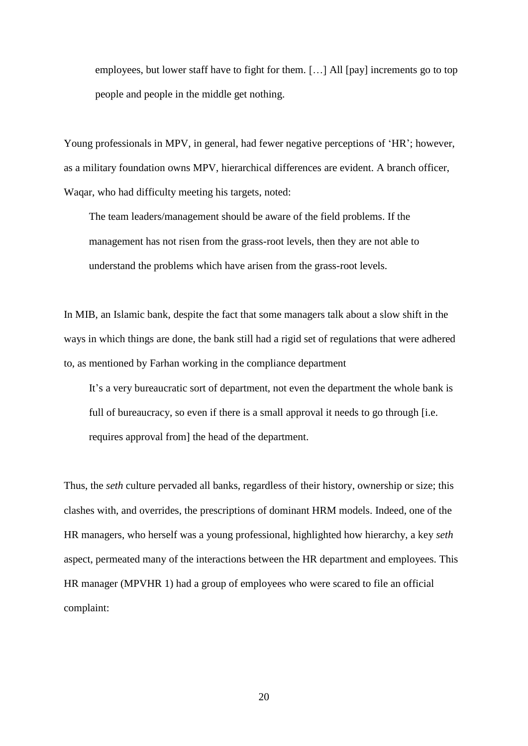employees, but lower staff have to fight for them. […] All [pay] increments go to top people and people in the middle get nothing.

Young professionals in MPV, in general, had fewer negative perceptions of 'HR'; however, as a military foundation owns MPV, hierarchical differences are evident. A branch officer, Waqar, who had difficulty meeting his targets, noted:

The team leaders/management should be aware of the field problems. If the management has not risen from the grass-root levels, then they are not able to understand the problems which have arisen from the grass-root levels.

In MIB, an Islamic bank, despite the fact that some managers talk about a slow shift in the ways in which things are done, the bank still had a rigid set of regulations that were adhered to, as mentioned by Farhan working in the compliance department

It's a very bureaucratic sort of department, not even the department the whole bank is full of bureaucracy, so even if there is a small approval it needs to go through [i.e. requires approval from] the head of the department.

Thus, the *seth* culture pervaded all banks, regardless of their history, ownership or size; this clashes with, and overrides, the prescriptions of dominant HRM models. Indeed, one of the HR managers, who herself was a young professional, highlighted how hierarchy, a key *seth* aspect, permeated many of the interactions between the HR department and employees. This HR manager (MPVHR 1) had a group of employees who were scared to file an official complaint: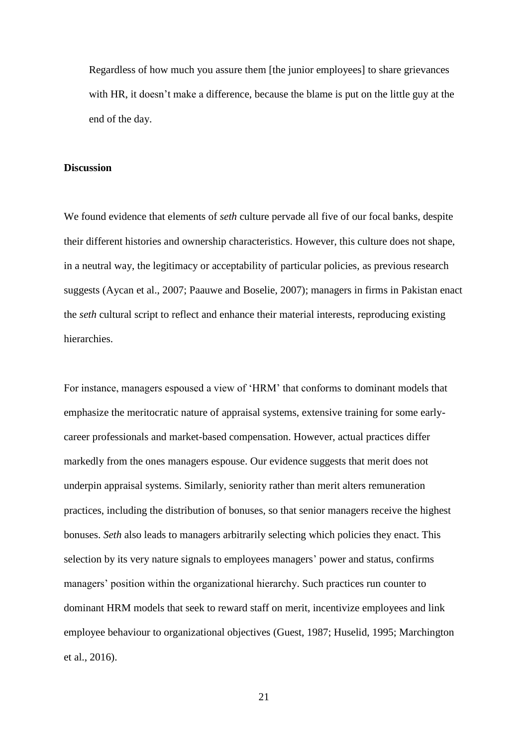Regardless of how much you assure them [the junior employees] to share grievances with HR, it doesn't make a difference, because the blame is put on the little guy at the end of the day.

#### **Discussion**

We found evidence that elements of *seth* culture pervade all five of our focal banks, despite their different histories and ownership characteristics. However, this culture does not shape, in a neutral way, the legitimacy or acceptability of particular policies, as previous research suggests (Aycan et al., 2007; Paauwe and Boselie, 2007); managers in firms in Pakistan enact the *seth* cultural script to reflect and enhance their material interests, reproducing existing hierarchies.

For instance, managers espoused a view of 'HRM' that conforms to dominant models that emphasize the meritocratic nature of appraisal systems, extensive training for some earlycareer professionals and market-based compensation. However, actual practices differ markedly from the ones managers espouse. Our evidence suggests that merit does not underpin appraisal systems. Similarly, seniority rather than merit alters remuneration practices, including the distribution of bonuses, so that senior managers receive the highest bonuses. *Seth* also leads to managers arbitrarily selecting which policies they enact. This selection by its very nature signals to employees managers' power and status, confirms managers' position within the organizational hierarchy. Such practices run counter to dominant HRM models that seek to reward staff on merit, incentivize employees and link employee behaviour to organizational objectives (Guest, 1987; Huselid, 1995; Marchington et al., 2016).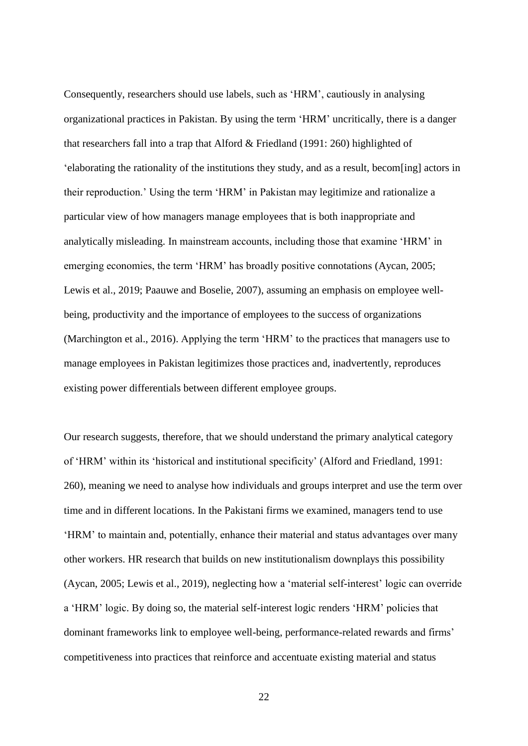Consequently, researchers should use labels, such as 'HRM', cautiously in analysing organizational practices in Pakistan. By using the term 'HRM' uncritically, there is a danger that researchers fall into a trap that Alford & Friedland (1991: 260) highlighted of 'elaborating the rationality of the institutions they study, and as a result, becom[ing] actors in their reproduction.' Using the term 'HRM' in Pakistan may legitimize and rationalize a particular view of how managers manage employees that is both inappropriate and analytically misleading. In mainstream accounts, including those that examine 'HRM' in emerging economies, the term 'HRM' has broadly positive connotations (Aycan, 2005; Lewis et al., 2019; Paauwe and Boselie, 2007), assuming an emphasis on employee wellbeing, productivity and the importance of employees to the success of organizations (Marchington et al., 2016). Applying the term 'HRM' to the practices that managers use to manage employees in Pakistan legitimizes those practices and, inadvertently, reproduces existing power differentials between different employee groups.

Our research suggests, therefore, that we should understand the primary analytical category of 'HRM' within its 'historical and institutional specificity' (Alford and Friedland, 1991: 260), meaning we need to analyse how individuals and groups interpret and use the term over time and in different locations. In the Pakistani firms we examined, managers tend to use 'HRM' to maintain and, potentially, enhance their material and status advantages over many other workers. HR research that builds on new institutionalism downplays this possibility (Aycan, 2005; Lewis et al., 2019), neglecting how a 'material self-interest' logic can override a 'HRM' logic. By doing so, the material self-interest logic renders 'HRM' policies that dominant frameworks link to employee well-being, performance-related rewards and firms' competitiveness into practices that reinforce and accentuate existing material and status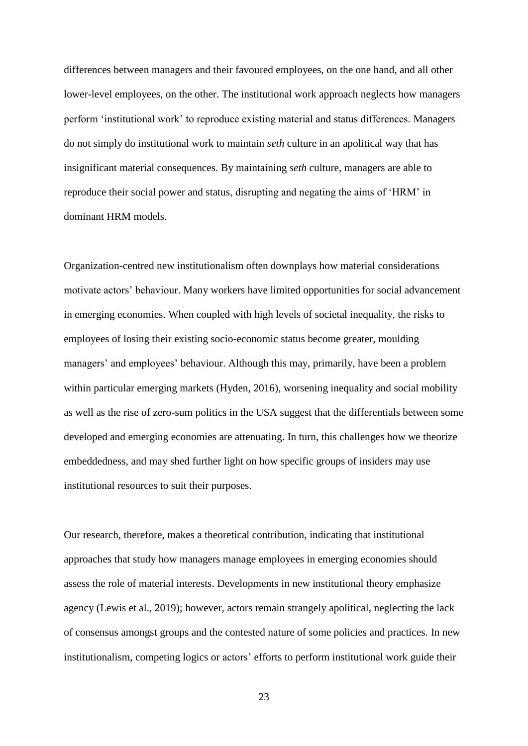differences between managers and their favoured employees, on the one hand, and all other lower-level employees, on the other. The institutional work approach neglects how managers perform 'institutional work' to reproduce existing material and status differences. Managers do not simply do institutional work to maintain *seth* culture in an apolitical way that has insignificant material consequences. By maintaining *seth* culture, managers are able to reproduce their social power and status, disrupting and negating the aims of 'HRM' in dominant HRM models.

Organization-centred new institutionalism often downplays how material considerations motivate actors' behaviour. Many workers have limited opportunities for social advancement in emerging economies. When coupled with high levels of societal inequality, the risks to employees of losing their existing socio-economic status become greater, moulding managers' and employees' behaviour. Although this may, primarily, have been a problem within particular emerging markets (Hyden, 2016), worsening inequality and social mobility as well as the rise of zero-sum politics in the USA suggest that the differentials between some developed and emerging economies are attenuating. In turn, this challenges how we theorize embeddedness, and may shed further light on how specific groups of insiders may use institutional resources to suit their purposes.

Our research, therefore, makes a theoretical contribution, indicating that institutional approaches that study how managers manage employees in emerging economies should assess the role of material interests. Developments in new institutional theory emphasize agency (Lewis et al., 2019); however, actors remain strangely apolitical, neglecting the lack of consensus amongst groups and the contested nature of some policies and practices. In new institutionalism, competing logics or actors' efforts to perform institutional work guide their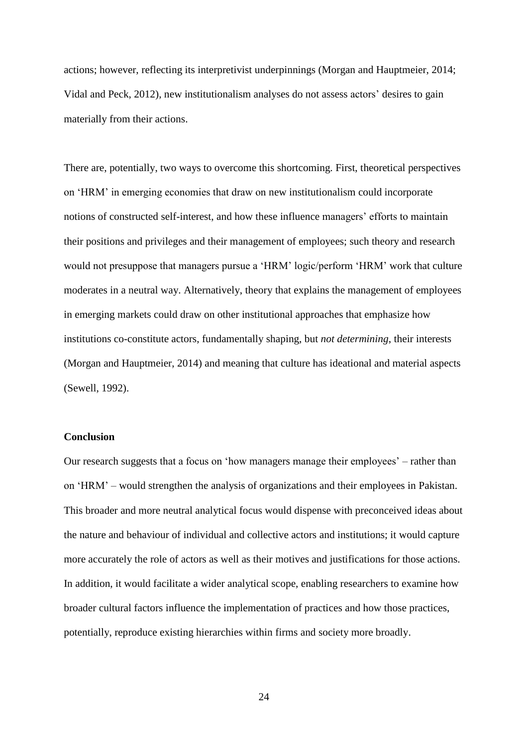actions; however, reflecting its interpretivist underpinnings (Morgan and Hauptmeier, 2014; Vidal and Peck, 2012), new institutionalism analyses do not assess actors' desires to gain materially from their actions.

There are, potentially, two ways to overcome this shortcoming. First, theoretical perspectives on 'HRM' in emerging economies that draw on new institutionalism could incorporate notions of constructed self-interest, and how these influence managers' efforts to maintain their positions and privileges and their management of employees; such theory and research would not presuppose that managers pursue a 'HRM' logic/perform 'HRM' work that culture moderates in a neutral way. Alternatively, theory that explains the management of employees in emerging markets could draw on other institutional approaches that emphasize how institutions co-constitute actors, fundamentally shaping, but *not determining*, their interests (Morgan and Hauptmeier, 2014) and meaning that culture has ideational and material aspects (Sewell, 1992).

### **Conclusion**

Our research suggests that a focus on 'how managers manage their employees' – rather than on 'HRM' – would strengthen the analysis of organizations and their employees in Pakistan. This broader and more neutral analytical focus would dispense with preconceived ideas about the nature and behaviour of individual and collective actors and institutions; it would capture more accurately the role of actors as well as their motives and justifications for those actions. In addition, it would facilitate a wider analytical scope, enabling researchers to examine how broader cultural factors influence the implementation of practices and how those practices, potentially, reproduce existing hierarchies within firms and society more broadly.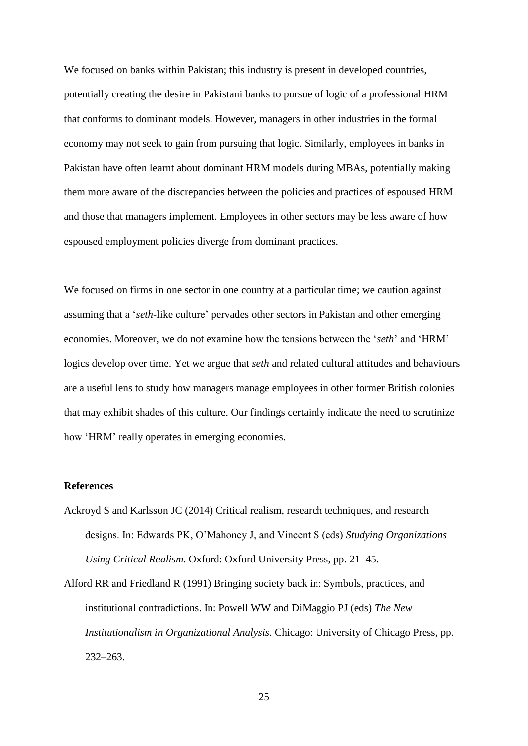We focused on banks within Pakistan; this industry is present in developed countries, potentially creating the desire in Pakistani banks to pursue of logic of a professional HRM that conforms to dominant models. However, managers in other industries in the formal economy may not seek to gain from pursuing that logic. Similarly, employees in banks in Pakistan have often learnt about dominant HRM models during MBAs, potentially making them more aware of the discrepancies between the policies and practices of espoused HRM and those that managers implement. Employees in other sectors may be less aware of how espoused employment policies diverge from dominant practices.

We focused on firms in one sector in one country at a particular time; we caution against assuming that a '*seth*-like culture' pervades other sectors in Pakistan and other emerging economies. Moreover, we do not examine how the tensions between the '*seth*' and 'HRM' logics develop over time. Yet we argue that *seth* and related cultural attitudes and behaviours are a useful lens to study how managers manage employees in other former British colonies that may exhibit shades of this culture. Our findings certainly indicate the need to scrutinize how 'HRM' really operates in emerging economies.

#### **References**

- Ackroyd S and Karlsson JC (2014) Critical realism, research techniques, and research designs. In: Edwards PK, O'Mahoney J, and Vincent S (eds) *Studying Organizations Using Critical Realism*. Oxford: Oxford University Press, pp. 21–45.
- Alford RR and Friedland R (1991) Bringing society back in: Symbols, practices, and institutional contradictions. In: Powell WW and DiMaggio PJ (eds) *The New Institutionalism in Organizational Analysis*. Chicago: University of Chicago Press, pp. 232–263.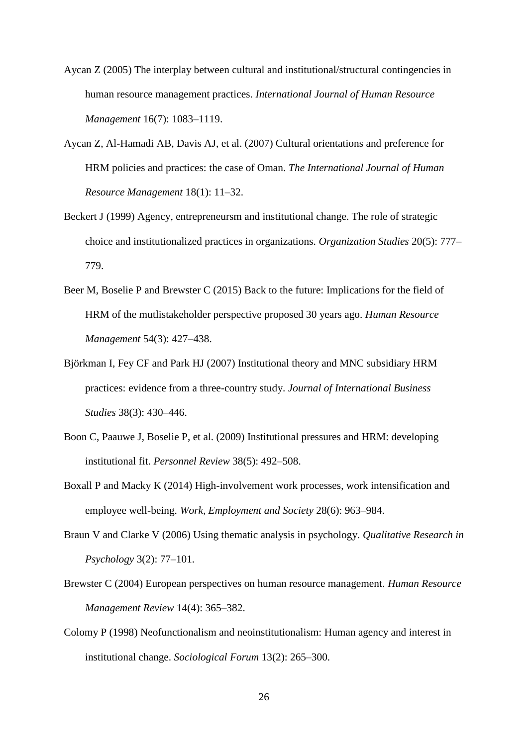- Aycan Z (2005) The interplay between cultural and institutional/structural contingencies in human resource management practices. *International Journal of Human Resource Management* 16(7): 1083–1119.
- Aycan Z, Al-Hamadi AB, Davis AJ, et al. (2007) Cultural orientations and preference for HRM policies and practices: the case of Oman. *The International Journal of Human Resource Management* 18(1): 11–32.
- Beckert J (1999) Agency, entrepreneursm and institutional change. The role of strategic choice and institutionalized practices in organizations. *Organization Studies* 20(5): 777– 779.
- Beer M, Boselie P and Brewster C (2015) Back to the future: Implications for the field of HRM of the mutlistakeholder perspective proposed 30 years ago. *Human Resource Management* 54(3): 427–438.
- Björkman I, Fey CF and Park HJ (2007) Institutional theory and MNC subsidiary HRM practices: evidence from a three-country study. *Journal of International Business Studies* 38(3): 430–446.
- Boon C, Paauwe J, Boselie P, et al. (2009) Institutional pressures and HRM: developing institutional fit. *Personnel Review* 38(5): 492–508.
- Boxall P and Macky K (2014) High-involvement work processes, work intensification and employee well-being. *Work, Employment and Society* 28(6): 963–984.
- Braun V and Clarke V (2006) Using thematic analysis in psychology. *Qualitative Research in Psychology* 3(2): 77–101.
- Brewster C (2004) European perspectives on human resource management. *Human Resource Management Review* 14(4): 365–382.
- Colomy P (1998) Neofunctionalism and neoinstitutionalism: Human agency and interest in institutional change. *Sociological Forum* 13(2): 265–300.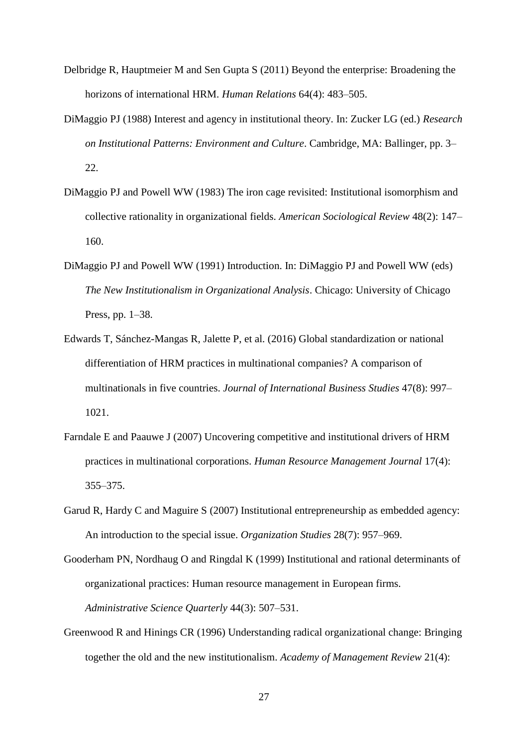- Delbridge R, Hauptmeier M and Sen Gupta S (2011) Beyond the enterprise: Broadening the horizons of international HRM. *Human Relations* 64(4): 483–505.
- DiMaggio PJ (1988) Interest and agency in institutional theory. In: Zucker LG (ed.) *Research on Institutional Patterns: Environment and Culture*. Cambridge, MA: Ballinger, pp. 3– 22.
- DiMaggio PJ and Powell WW (1983) The iron cage revisited: Institutional isomorphism and collective rationality in organizational fields. *American Sociological Review* 48(2): 147– 160.
- DiMaggio PJ and Powell WW (1991) Introduction. In: DiMaggio PJ and Powell WW (eds) *The New Institutionalism in Organizational Analysis*. Chicago: University of Chicago Press, pp. 1–38.
- Edwards T, Sánchez-Mangas R, Jalette P, et al. (2016) Global standardization or national differentiation of HRM practices in multinational companies? A comparison of multinationals in five countries. *Journal of International Business Studies* 47(8): 997– 1021.
- Farndale E and Paauwe J (2007) Uncovering competitive and institutional drivers of HRM practices in multinational corporations. *Human Resource Management Journal* 17(4): 355–375.
- Garud R, Hardy C and Maguire S (2007) Institutional entrepreneurship as embedded agency: An introduction to the special issue. *Organization Studies* 28(7): 957–969.
- Gooderham PN, Nordhaug O and Ringdal K (1999) Institutional and rational determinants of organizational practices: Human resource management in European firms. *Administrative Science Quarterly* 44(3): 507–531.
- Greenwood R and Hinings CR (1996) Understanding radical organizational change: Bringing together the old and the new institutionalism. *Academy of Management Review* 21(4):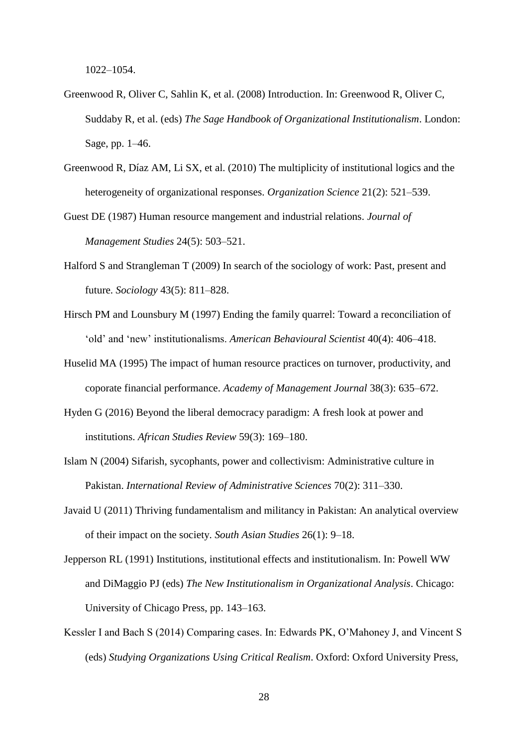1022–1054.

- Greenwood R, Oliver C, Sahlin K, et al. (2008) Introduction. In: Greenwood R, Oliver C, Suddaby R, et al. (eds) *The Sage Handbook of Organizational Institutionalism*. London: Sage, pp. 1–46.
- Greenwood R, Díaz AM, Li SX, et al. (2010) The multiplicity of institutional logics and the heterogeneity of organizational responses. *Organization Science* 21(2): 521–539.
- Guest DE (1987) Human resource mangement and industrial relations. *Journal of Management Studies* 24(5): 503–521.
- Halford S and Strangleman T (2009) In search of the sociology of work: Past, present and future. *Sociology* 43(5): 811–828.
- Hirsch PM and Lounsbury M (1997) Ending the family quarrel: Toward a reconciliation of 'old' and 'new' institutionalisms. *American Behavioural Scientist* 40(4): 406–418.
- Huselid MA (1995) The impact of human resource practices on turnover, productivity, and coporate financial performance. *Academy of Management Journal* 38(3): 635–672.
- Hyden G (2016) Beyond the liberal democracy paradigm: A fresh look at power and institutions. *African Studies Review* 59(3): 169–180.
- Islam N (2004) Sifarish, sycophants, power and collectivism: Administrative culture in Pakistan. *International Review of Administrative Sciences* 70(2): 311–330.
- Javaid U (2011) Thriving fundamentalism and militancy in Pakistan: An analytical overview of their impact on the society. *South Asian Studies* 26(1): 9–18.
- Jepperson RL (1991) Institutions, institutional effects and institutionalism. In: Powell WW and DiMaggio PJ (eds) *The New Institutionalism in Organizational Analysis*. Chicago: University of Chicago Press, pp. 143–163.
- Kessler I and Bach S (2014) Comparing cases. In: Edwards PK, O'Mahoney J, and Vincent S (eds) *Studying Organizations Using Critical Realism*. Oxford: Oxford University Press,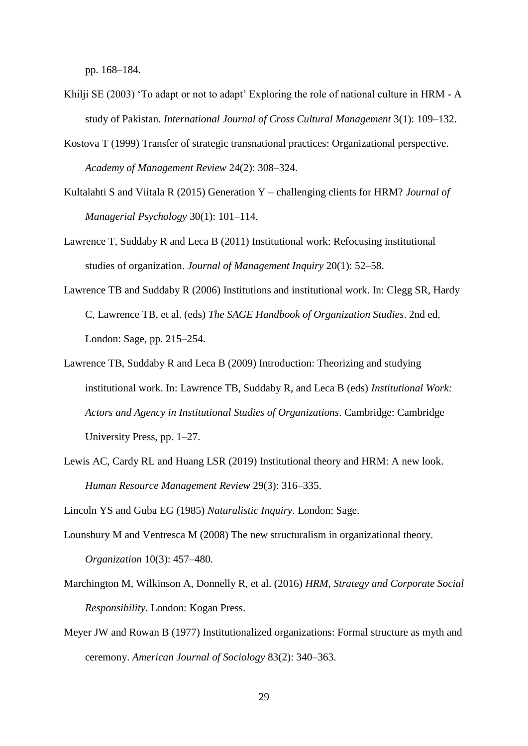pp. 168–184.

- Khilji SE (2003) 'To adapt or not to adapt' Exploring the role of national culture in HRM A study of Pakistan. *International Journal of Cross Cultural Management* 3(1): 109–132.
- Kostova T (1999) Transfer of strategic transnational practices: Organizational perspective. *Academy of Management Review* 24(2): 308–324.
- Kultalahti S and Viitala R (2015) Generation Y challenging clients for HRM? *Journal of Managerial Psychology* 30(1): 101–114.
- Lawrence T, Suddaby R and Leca B (2011) Institutional work: Refocusing institutional studies of organization. *Journal of Management Inquiry* 20(1): 52–58.
- Lawrence TB and Suddaby R (2006) Institutions and institutional work. In: Clegg SR, Hardy C, Lawrence TB, et al. (eds) *The SAGE Handbook of Organization Studies*. 2nd ed. London: Sage, pp. 215–254.
- Lawrence TB, Suddaby R and Leca B (2009) Introduction: Theorizing and studying institutional work. In: Lawrence TB, Suddaby R, and Leca B (eds) *Institutional Work: Actors and Agency in Institutional Studies of Organizations*. Cambridge: Cambridge University Press, pp. 1–27.
- Lewis AC, Cardy RL and Huang LSR (2019) Institutional theory and HRM: A new look. *Human Resource Management Review* 29(3): 316–335.

Lincoln YS and Guba EG (1985) *Naturalistic Inquiry*. London: Sage.

- Lounsbury M and Ventresca M (2008) The new structuralism in organizational theory. *Organization* 10(3): 457–480.
- Marchington M, Wilkinson A, Donnelly R, et al. (2016) *HRM, Strategy and Corporate Social Responsibility*. London: Kogan Press.
- Meyer JW and Rowan B (1977) Institutionalized organizations: Formal structure as myth and ceremony. *American Journal of Sociology* 83(2): 340–363.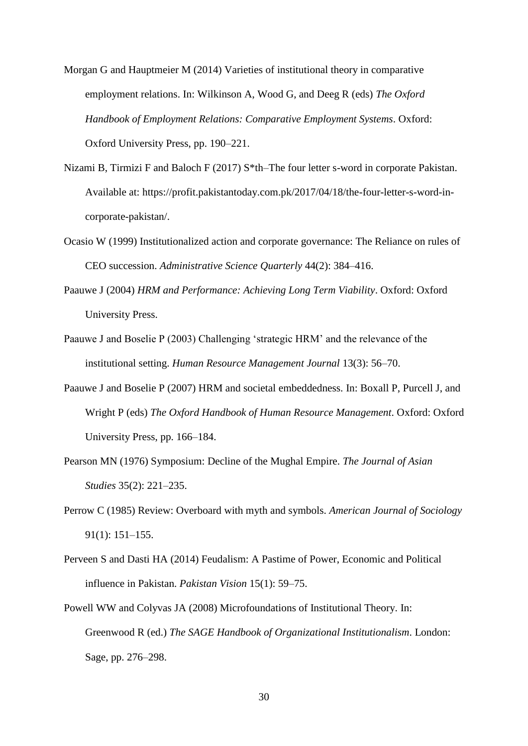- Morgan G and Hauptmeier M (2014) Varieties of institutional theory in comparative employment relations. In: Wilkinson A, Wood G, and Deeg R (eds) *The Oxford Handbook of Employment Relations: Comparative Employment Systems*. Oxford: Oxford University Press, pp. 190–221.
- Nizami B, Tirmizi F and Baloch F (2017) S\*th–The four letter s-word in corporate Pakistan. Available at: https://profit.pakistantoday.com.pk/2017/04/18/the-four-letter-s-word-incorporate-pakistan/.
- Ocasio W (1999) Institutionalized action and corporate governance: The Reliance on rules of CEO succession. *Administrative Science Quarterly* 44(2): 384–416.
- Paauwe J (2004) *HRM and Performance: Achieving Long Term Viability*. Oxford: Oxford University Press.
- Paauwe J and Boselie P (2003) Challenging 'strategic HRM' and the relevance of the institutional setting. *Human Resource Management Journal* 13(3): 56–70.
- Paauwe J and Boselie P (2007) HRM and societal embeddedness. In: Boxall P, Purcell J, and Wright P (eds) *The Oxford Handbook of Human Resource Management*. Oxford: Oxford University Press, pp. 166–184.
- Pearson MN (1976) Symposium: Decline of the Mughal Empire. *The Journal of Asian Studies* 35(2): 221–235.
- Perrow C (1985) Review: Overboard with myth and symbols. *American Journal of Sociology* 91(1): 151–155.
- Perveen S and Dasti HA (2014) Feudalism: A Pastime of Power, Economic and Political influence in Pakistan. *Pakistan Vision* 15(1): 59–75.
- Powell WW and Colyvas JA (2008) Microfoundations of Institutional Theory. In: Greenwood R (ed.) *The SAGE Handbook of Organizational Institutionalism*. London: Sage, pp. 276–298.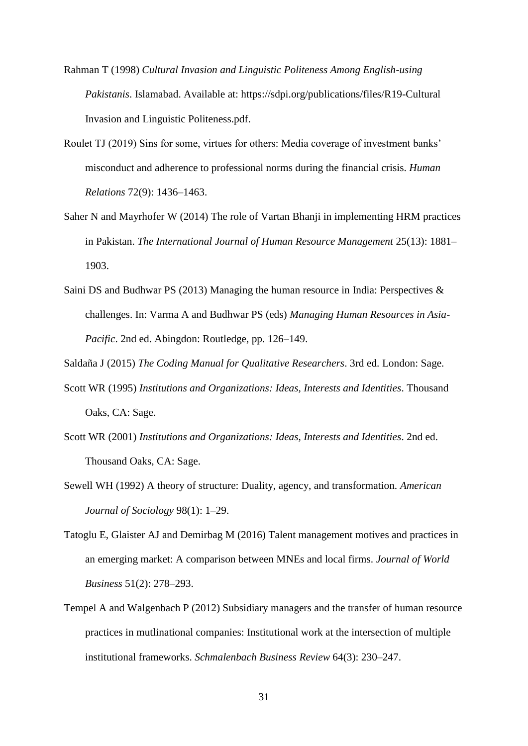- Rahman T (1998) *Cultural Invasion and Linguistic Politeness Among English-using Pakistanis*. Islamabad. Available at: https://sdpi.org/publications/files/R19-Cultural Invasion and Linguistic Politeness.pdf.
- Roulet TJ (2019) Sins for some, virtues for others: Media coverage of investment banks' misconduct and adherence to professional norms during the financial crisis. *Human Relations* 72(9): 1436–1463.
- Saher N and Mayrhofer W (2014) The role of Vartan Bhanji in implementing HRM practices in Pakistan. *The International Journal of Human Resource Management* 25(13): 1881– 1903.
- Saini DS and Budhwar PS (2013) Managing the human resource in India: Perspectives & challenges. In: Varma A and Budhwar PS (eds) *Managing Human Resources in Asia-Pacific*. 2nd ed. Abingdon: Routledge, pp. 126–149.
- Saldaña J (2015) *The Coding Manual for Qualitative Researchers*. 3rd ed. London: Sage.
- Scott WR (1995) *Institutions and Organizations: Ideas, Interests and Identities*. Thousand Oaks, CA: Sage.
- Scott WR (2001) *Institutions and Organizations: Ideas, Interests and Identities*. 2nd ed. Thousand Oaks, CA: Sage.
- Sewell WH (1992) A theory of structure: Duality, agency, and transformation. *American Journal of Sociology* 98(1): 1–29.
- Tatoglu E, Glaister AJ and Demirbag M (2016) Talent management motives and practices in an emerging market: A comparison between MNEs and local firms. *Journal of World Business* 51(2): 278–293.
- Tempel A and Walgenbach P (2012) Subsidiary managers and the transfer of human resource practices in mutlinational companies: Institutional work at the intersection of multiple institutional frameworks. *Schmalenbach Business Review* 64(3): 230–247.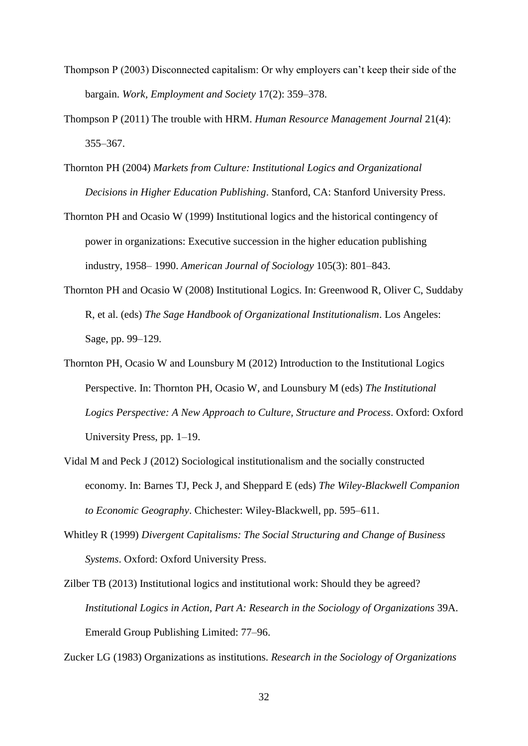- Thompson P (2003) Disconnected capitalism: Or why employers can't keep their side of the bargain. *Work, Employment and Society* 17(2): 359–378.
- Thompson P (2011) The trouble with HRM. *Human Resource Management Journal* 21(4): 355–367.
- Thornton PH (2004) *Markets from Culture: Institutional Logics and Organizational Decisions in Higher Education Publishing*. Stanford, CA: Stanford University Press.
- Thornton PH and Ocasio W (1999) Institutional logics and the historical contingency of power in organizations: Executive succession in the higher education publishing industry, 1958– 1990. *American Journal of Sociology* 105(3): 801–843.
- Thornton PH and Ocasio W (2008) Institutional Logics. In: Greenwood R, Oliver C, Suddaby R, et al. (eds) *The Sage Handbook of Organizational Institutionalism*. Los Angeles: Sage, pp. 99–129.
- Thornton PH, Ocasio W and Lounsbury M (2012) Introduction to the Institutional Logics Perspective. In: Thornton PH, Ocasio W, and Lounsbury M (eds) *The Institutional Logics Perspective: A New Approach to Culture, Structure and Process*. Oxford: Oxford University Press, pp. 1–19.
- Vidal M and Peck J (2012) Sociological institutionalism and the socially constructed economy. In: Barnes TJ, Peck J, and Sheppard E (eds) *The Wiley-Blackwell Companion to Economic Geography*. Chichester: Wiley-Blackwell, pp. 595–611.
- Whitley R (1999) *Divergent Capitalisms: The Social Structuring and Change of Business Systems*. Oxford: Oxford University Press.
- Zilber TB (2013) Institutional logics and institutional work: Should they be agreed? *Institutional Logics in Action, Part A: Research in the Sociology of Organizations* 39A. Emerald Group Publishing Limited: 77–96.

Zucker LG (1983) Organizations as institutions. *Research in the Sociology of Organizations*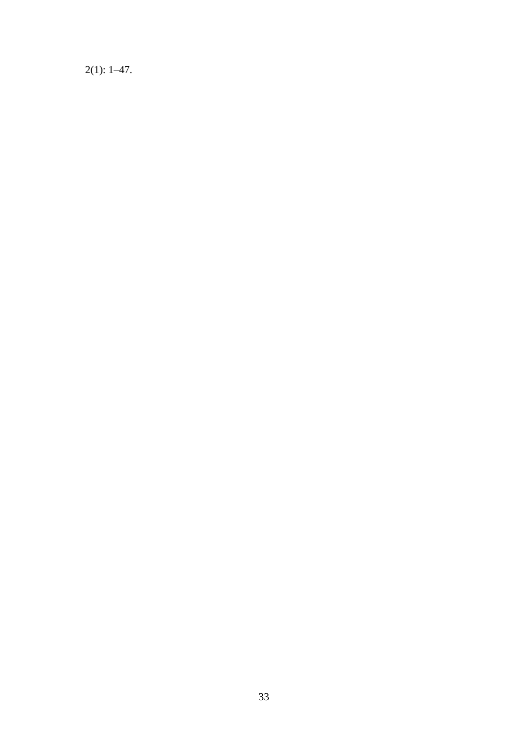$2(1): 1-47.$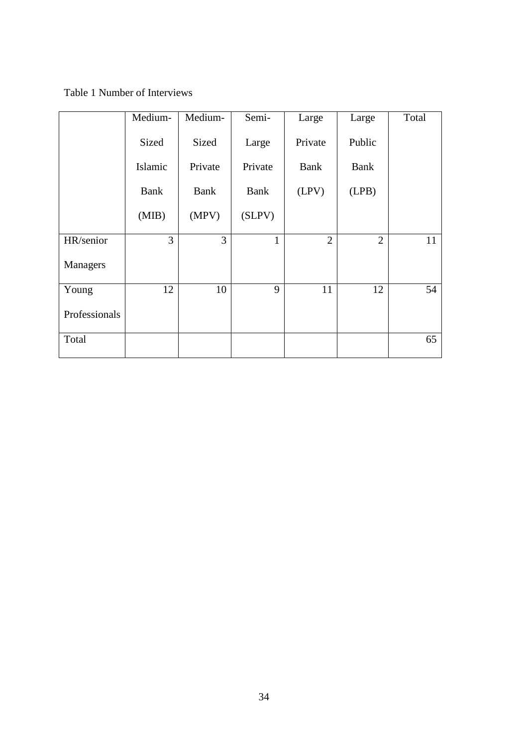Table 1 Number of Interviews

|               | Medium-     | Medium-     | Semi-        | Large          | Large          | Total |
|---------------|-------------|-------------|--------------|----------------|----------------|-------|
|               | Sized       | Sized       | Large        | Private        | Public         |       |
|               | Islamic     | Private     | Private      | Bank           | Bank           |       |
|               | <b>Bank</b> | <b>Bank</b> | <b>Bank</b>  | (LPV)          | (LPB)          |       |
|               | (MIB)       | (MPV)       | (SLPV)       |                |                |       |
| HR/senior     | 3           | 3           | $\mathbf{1}$ | $\overline{2}$ | $\overline{2}$ | 11    |
| Managers      |             |             |              |                |                |       |
| Young         | 12          | 10          | 9            | 11             | 12             | 54    |
| Professionals |             |             |              |                |                |       |
| Total         |             |             |              |                |                | 65    |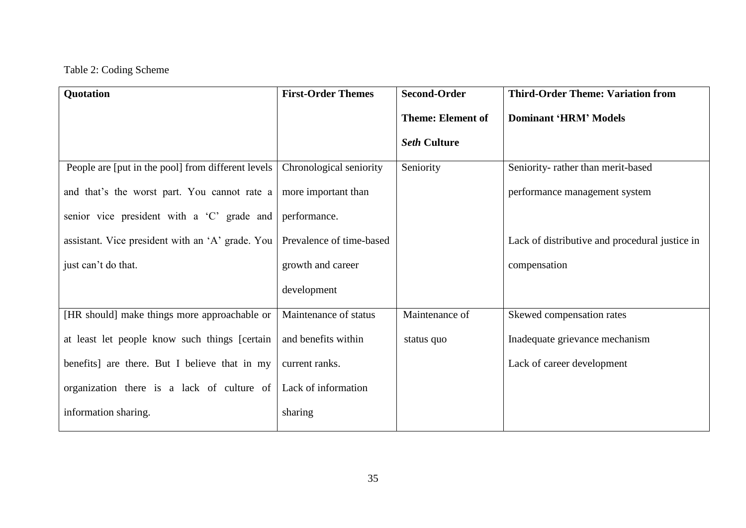# Table 2: Coding Scheme

| Quotation                                          | <b>First-Order Themes</b> | <b>Second-Order</b>      | <b>Third-Order Theme: Variation from</b>       |
|----------------------------------------------------|---------------------------|--------------------------|------------------------------------------------|
|                                                    |                           | <b>Theme: Element of</b> | <b>Dominant 'HRM' Models</b>                   |
|                                                    |                           | <b>Seth Culture</b>      |                                                |
| People are [put in the pool] from different levels | Chronological seniority   | Seniority                | Seniority-rather than merit-based              |
| and that's the worst part. You cannot rate a       | more important than       |                          | performance management system                  |
| senior vice president with a 'C' grade and         | performance.              |                          |                                                |
| assistant. Vice president with an 'A' grade. You   | Prevalence of time-based  |                          | Lack of distributive and procedural justice in |
| just can't do that.                                | growth and career         |                          | compensation                                   |
|                                                    | development               |                          |                                                |
| [HR should] make things more approachable or       | Maintenance of status     | Maintenance of           | Skewed compensation rates                      |
| at least let people know such things [certain      | and benefits within       | status quo               | Inadequate grievance mechanism                 |
| benefits] are there. But I believe that in my      | current ranks.            |                          | Lack of career development                     |
| organization there is a lack of culture of         | Lack of information       |                          |                                                |
| information sharing.                               | sharing                   |                          |                                                |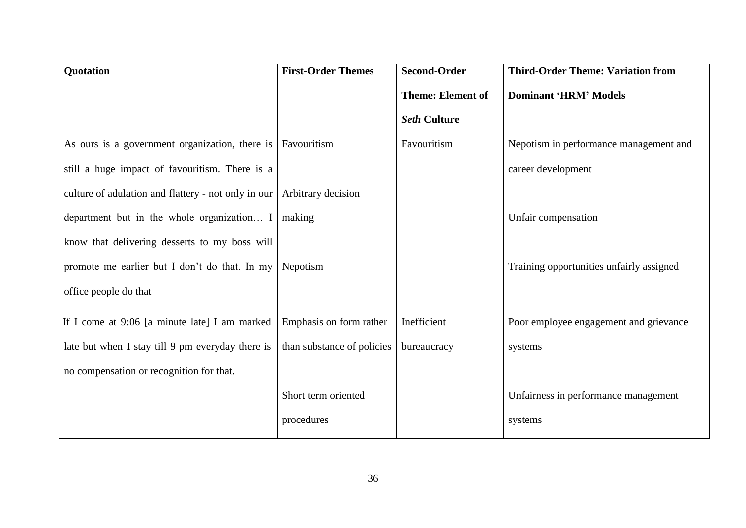| Quotation                                           | <b>First-Order Themes</b>  | <b>Second-Order</b>      | <b>Third-Order Theme: Variation from</b> |
|-----------------------------------------------------|----------------------------|--------------------------|------------------------------------------|
|                                                     |                            | <b>Theme: Element of</b> | <b>Dominant 'HRM' Models</b>             |
|                                                     |                            | <b>Seth Culture</b>      |                                          |
| As ours is a government organization, there is      | Favouritism                | Favouritism              | Nepotism in performance management and   |
| still a huge impact of favouritism. There is a      |                            |                          | career development                       |
| culture of adulation and flattery - not only in our | Arbitrary decision         |                          |                                          |
| department but in the whole organization I          | making                     |                          | Unfair compensation                      |
| know that delivering desserts to my boss will       |                            |                          |                                          |
| promote me earlier but I don't do that. In my       | Nepotism                   |                          | Training opportunities unfairly assigned |
| office people do that                               |                            |                          |                                          |
|                                                     |                            |                          |                                          |
| If I come at $9:06$ [a minute late] I am marked     | Emphasis on form rather    | Inefficient              | Poor employee engagement and grievance   |
| late but when I stay till 9 pm everyday there is    | than substance of policies | bureaucracy              | systems                                  |
| no compensation or recognition for that.            |                            |                          |                                          |
|                                                     | Short term oriented        |                          | Unfairness in performance management     |
|                                                     | procedures                 |                          | systems                                  |